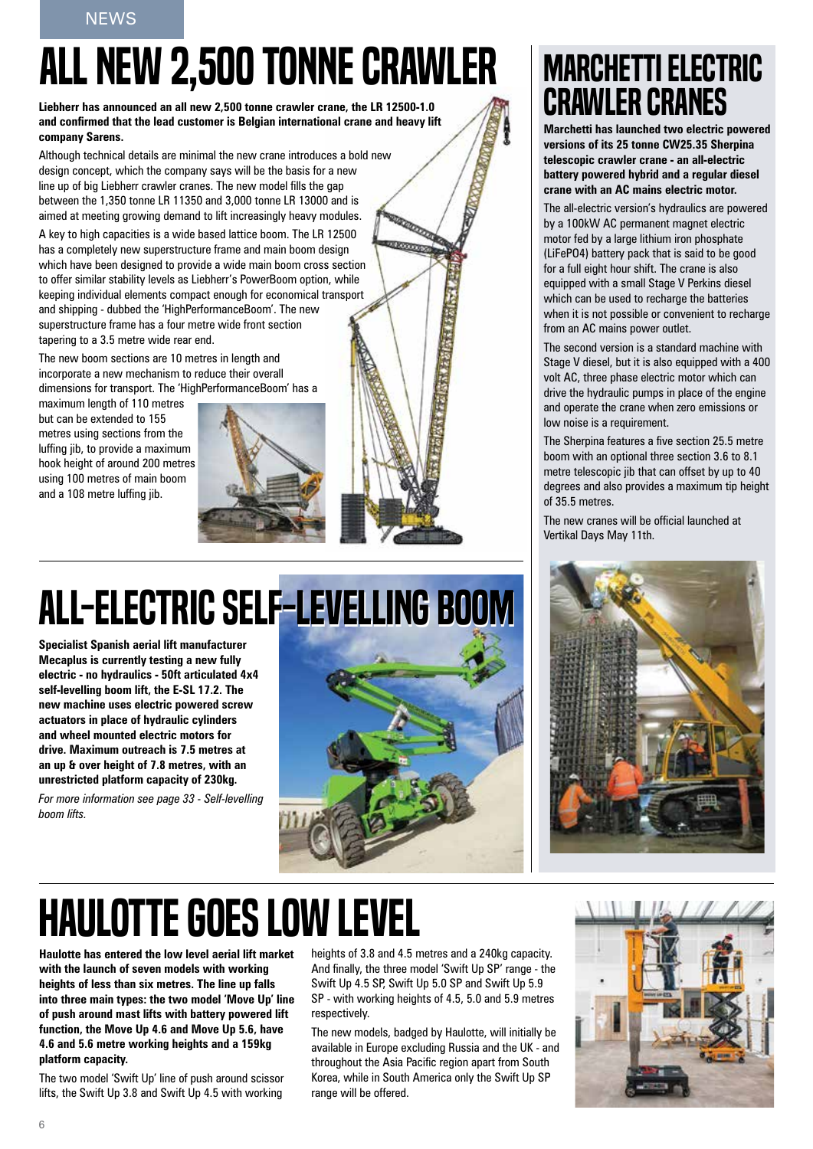## ALL NEW 2,500 TONNE CRAWLER

**Liebherr has announced an all new 2,500 tonne crawler crane, the LR 12500-1.0 and confirmed that the lead customer is Belgian international crane and heavy lift company Sarens.**

Although technical details are minimal the new crane introduces a bold new design concept, which the company says will be the basis for a new line up of big Liebherr crawler cranes. The new model fills the gap between the 1,350 tonne LR 11350 and 3,000 tonne LR 13000 and is aimed at meeting growing demand to lift increasingly heavy modules.

A key to high capacities is a wide based lattice boom. The LR 12500 has a completely new superstructure frame and main boom design which have been designed to provide a wide main boom cross section to offer similar stability levels as Liebherr's PowerBoom option, while keeping individual elements compact enough for economical transport and shipping - dubbed the 'HighPerformanceBoom'. The new superstructure frame has a four metre wide front section tapering to a 3.5 metre wide rear end.

The new boom sections are 10 metres in length and incorporate a new mechanism to reduce their overall dimensions for transport. The 'HighPerformanceBoom' has a

maximum length of 110 metres but can be extended to 155 metres using sections from the luffing jib, to provide a maximum hook height of around 200 metres using 100 metres of main boom and a 108 metre luffing jib.



## ALL-ELECTRIC SELF-LEVELLING BOOM

**Specialist Spanish aerial lift manufacturer Mecaplus is currently testing a new fully electric - no hydraulics - 50ft articulated 4x4 self-levelling boom lift, the E-SL 17.2. The new machine uses electric powered screw actuators in place of hydraulic cylinders and wheel mounted electric motors for drive. Maximum outreach is 7.5 metres at an up & over height of 7.8 metres, with an unrestricted platform capacity of 230kg.** 

*For more information see page 33 - Self-levelling boom lifts.*



### **MARCHETTI ELECTRIC** crawler cranes

**Marchetti has launched two electric powered versions of its 25 tonne CW25.35 Sherpina telescopic crawler crane - an all-electric battery powered hybrid and a regular diesel crane with an AC mains electric motor.**

The all-electric version's hydraulics are powered by a 100kW AC permanent magnet electric motor fed by a large lithium iron phosphate (LiFePO4) battery pack that is said to be good for a full eight hour shift. The crane is also equipped with a small Stage V Perkins diesel which can be used to recharge the batteries when it is not possible or convenient to recharge from an AC mains power outlet.

The second version is a standard machine with Stage V diesel, but it is also equipped with a 400 volt AC, three phase electric motor which can drive the hydraulic pumps in place of the engine and operate the crane when zero emissions or low noise is a requirement.

The Sherpina features a five section 25.5 metre boom with an optional three section 3.6 to 8.1 metre telescopic jib that can offset by up to 40 degrees and also provides a maximum tip height of 35.5 metres.

The new cranes will be official launched at Vertikal Days May 11th.



### **HAULOTTE GOES LOW LEVEL**

**Haulotte has entered the low level aerial lift market with the launch of seven models with working heights of less than six metres. The line up falls into three main types: the two model 'Move Up' line of push around mast lifts with battery powered lift function, the Move Up 4.6 and Move Up 5.6, have 4.6 and 5.6 metre working heights and a 159kg platform capacity.** 

The two model 'Swift Up' line of push around scissor lifts, the Swift Up 3.8 and Swift Up 4.5 with working

heights of 3.8 and 4.5 metres and a 240kg capacity. And finally, the three model 'Swift Up SP' range - the Swift Up 4.5 SP, Swift Up 5.0 SP and Swift Up 5.9 SP - with working heights of 4.5, 5.0 and 5.9 metres respectively.

The new models, badged by Haulotte, will initially be available in Europe excluding Russia and the UK - and throughout the Asia Pacific region apart from South Korea, while in South America only the Swift Up SP range will be offered.

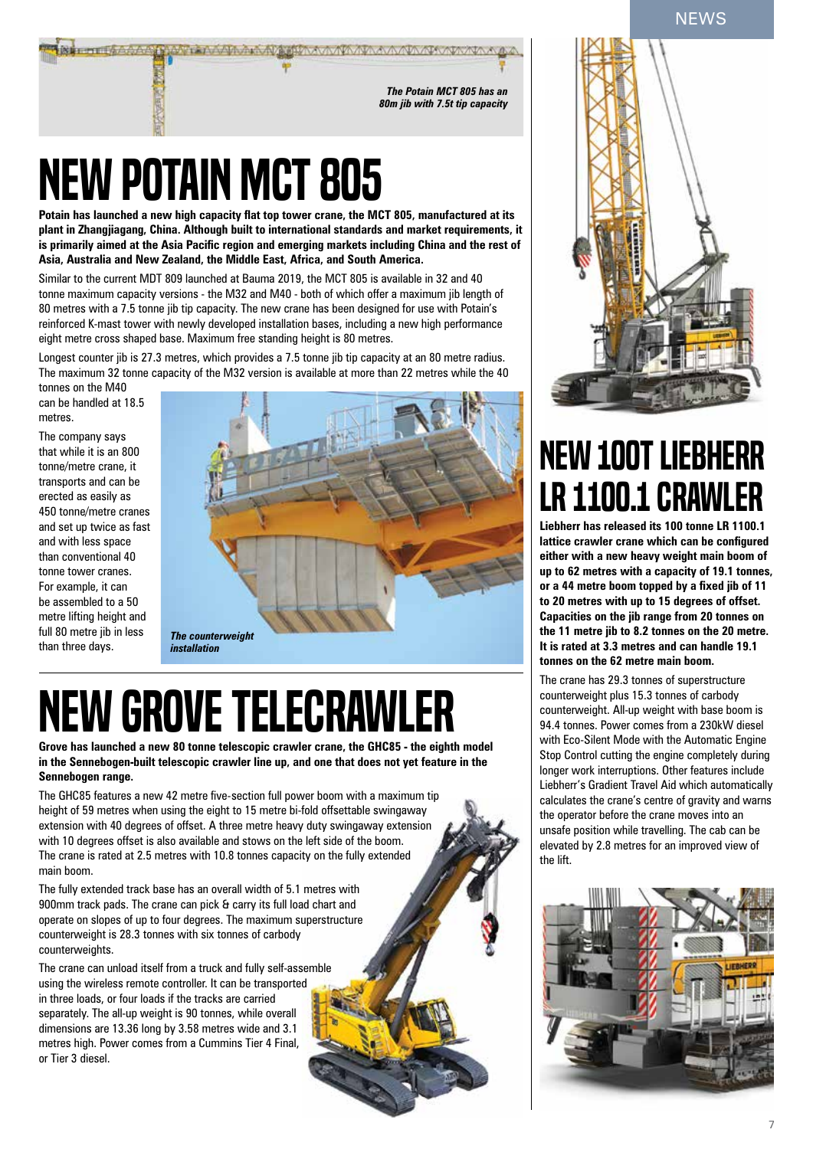**NEWS** 



## New Potain MCT 805

**Potain has launched a new high capacity flat top tower crane, the MCT 805, manufactured at its plant in Zhangjiagang, China. Although built to international standards and market requirements, it is primarily aimed at the Asia Pacific region and emerging markets including China and the rest of Asia, Australia and New Zealand, the Middle East, Africa, and South America.**

Similar to the current MDT 809 launched at Bauma 2019, the MCT 805 is available in 32 and 40 tonne maximum capacity versions - the M32 and M40 - both of which offer a maximum jib length of 80 metres with a 7.5 tonne jib tip capacity. The new crane has been designed for use with Potain's reinforced K-mast tower with newly developed installation bases, including a new high performance eight metre cross shaped base. Maximum free standing height is 80 metres.

Longest counter jib is 27.3 metres, which provides a 7.5 tonne jib tip capacity at an 80 metre radius. The maximum 32 tonne capacity of the M32 version is available at more than 22 metres while the 40

tonnes on the M40 can be handled at 18.5 metres.

The company says that while it is an 800 tonne/metre crane, it transports and can be erected as easily as 450 tonne/metre cranes and set up twice as fast and with less space than conventional 40 tonne tower cranes. For example, it can be assembled to a 50 metre lifting height and full 80 metre jib in less than three days.



#### *installation*

## NEW GROVE TELECRAWLER

**Grove has launched a new 80 tonne telescopic crawler crane, the GHC85 - the eighth model in the Sennebogen-built telescopic crawler line up, and one that does not yet feature in the Sennebogen range.**

The GHC85 features a new 42 metre five-section full power boom with a maximum tip height of 59 metres when using the eight to 15 metre bi-fold offsettable swingaway extension with 40 degrees of offset. A three metre heavy duty swingaway extension with 10 degrees offset is also available and stows on the left side of the boom. The crane is rated at 2.5 metres with 10.8 tonnes capacity on the fully extended main boom.

The fully extended track base has an overall width of 5.1 metres with 900mm track pads. The crane can pick & carry its full load chart and operate on slopes of up to four degrees. The maximum superstructure counterweight is 28.3 tonnes with six tonnes of carbody counterweights.

The crane can unload itself from a truck and fully self-assemble using the wireless remote controller. It can be transported in three loads, or four loads if the tracks are carried separately. The all-up weight is 90 tonnes, while overall dimensions are 13.36 long by 3.58 metres wide and 3.1 metres high. Power comes from a Cummins Tier 4 Final, or Tier 3 diesel.



### New 100t Liebherr LR 1100.1 crawler

**Liebherr has released its 100 tonne LR 1100.1 lattice crawler crane which can be configured either with a new heavy weight main boom of up to 62 metres with a capacity of 19.1 tonnes, or a 44 metre boom topped by a fixed jib of 11 to 20 metres with up to 15 degrees of offset. Capacities on the jib range from 20 tonnes on the 11 metre jib to 8.2 tonnes on the 20 metre. It is rated at 3.3 metres and can handle 19.1 tonnes on the 62 metre main boom.**

The crane has 29.3 tonnes of superstructure counterweight plus 15.3 tonnes of carbody counterweight. All-up weight with base boom is 94.4 tonnes. Power comes from a 230kW diesel with Eco-Silent Mode with the Automatic Engine Stop Control cutting the engine completely during longer work interruptions. Other features include Liebherr's Gradient Travel Aid which automatically calculates the crane's centre of gravity and warns the operator before the crane moves into an unsafe position while travelling. The cab can be elevated by 2.8 metres for an improved view of the lift.

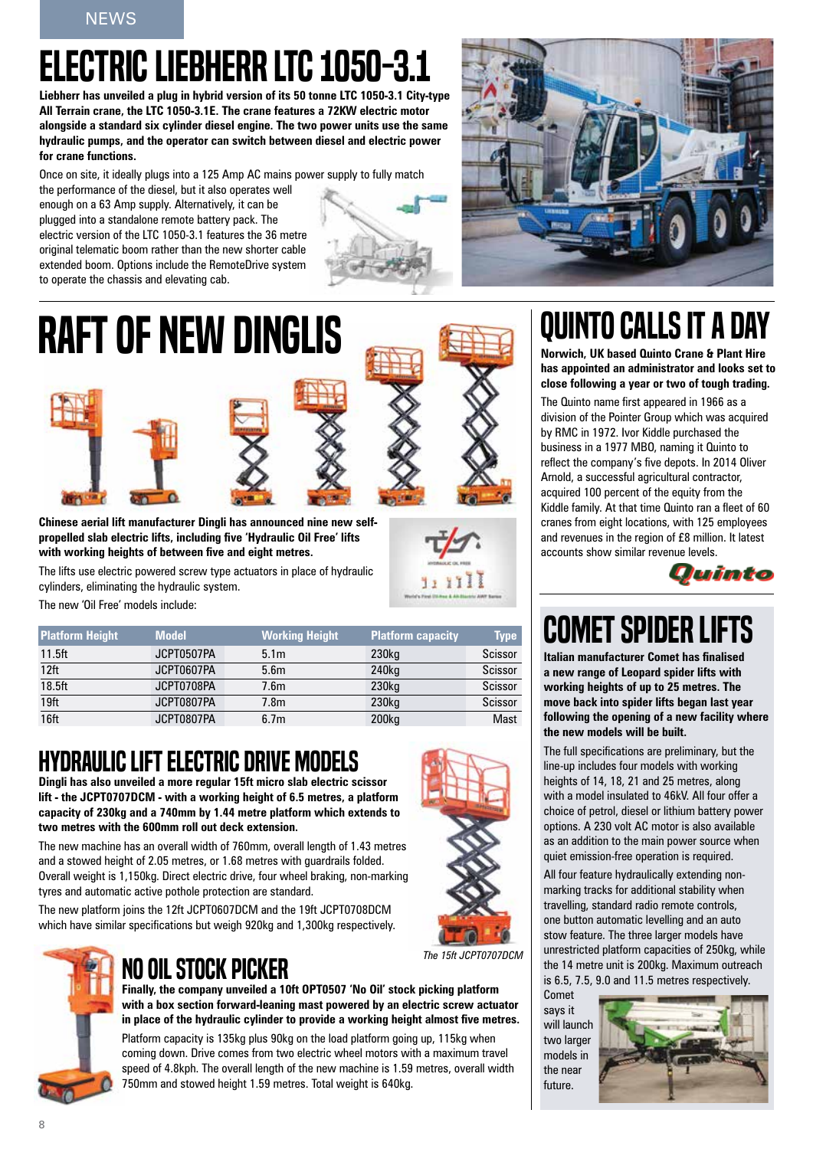### Electric Liebherr LTC 1050-3.1

**Liebherr has unveiled a plug in hybrid version of its 50 tonne LTC 1050-3.1 City-type All Terrain crane, the LTC 1050-3.1E. The crane features a 72KW electric motor alongside a standard six cylinder diesel engine. The two power units use the same hydraulic pumps, and the operator can switch between diesel and electric power for crane functions.** 

Once on site, it ideally plugs into a 125 Amp AC mains power supply to fully match the performance of the diesel, but it also operates well enough on a 63 Amp supply. Alternatively, it can be plugged into a standalone remote battery pack. The electric version of the LTC 1050-3.1 features the 36 metre original telematic boom rather than the new shorter cable extended boom. Options include the RemoteDrive system to operate the chassis and elevating cab.





**Chinese aerial lift manufacturer Dingli has announced nine new selfpropelled slab electric lifts, including five 'Hydraulic Oil Free' lifts with working heights of between five and eight metres.** 

The lifts use electric powered screw type actuators in place of hydraulic cylinders, eliminating the hydraulic system.

The new 'Oil Free' models include:

| <b>Platform Height</b> | <b>Model</b> | <b>Working Height</b> | <b>Platform capacity</b> | <b>Type</b> |
|------------------------|--------------|-----------------------|--------------------------|-------------|
| $11.5$ ft              | JCPT0507PA   | 5.1 <sub>m</sub>      | 230 <sub>kg</sub>        | Scissor     |
| 12 <sup>ft</sup>       | JCPT0607PA   | 5.6 <sub>m</sub>      | 240 <sub>kg</sub>        | Scissor     |
| 18.5ft                 | JCPT0708PA   | 7.6 <sub>m</sub>      | 230 <sub>kg</sub>        | Scissor     |
| 19 <sub>ft</sub>       | JCPT0807PA   | 7.8m                  | 230 <sub>kg</sub>        | Scissor     |
| 16ft                   | JCPT0807PA   | 6.7 <sub>m</sub>      | 200kg                    | <b>Mast</b> |

### Hydraulicliftelectric drive models

**Dingli has also unveiled a more regular 15ft micro slab electric scissor lift - the JCPT0707DCM - with a working height of 6.5 metres, a platform capacity of 230kg and a 740mm by 1.44 metre platform which extends to two metres with the 600mm roll out deck extension.** 

The new machine has an overall width of 760mm, overall length of 1.43 metres and a stowed height of 2.05 metres, or 1.68 metres with guardrails folded. Overall weight is 1,150kg. Direct electric drive, four wheel braking, non-marking tyres and automatic active pothole protection are standard.

The new platform joins the 12ft JCPT0607DCM and the 19ft JCPT0708DCM which have similar specifications but weigh 920kg and 1,300kg respectively.



### NO OIL STOCK PICKER

**Finally, the company unveiled a 10ft OPT0507 'No Oil' stock picking platform with a box section forward-leaning mast powered by an electric screw actuator in place of the hydraulic cylinder to provide a working height almost five metres.** 

Platform capacity is 135kg plus 90kg on the load platform going up, 115kg when coming down. Drive comes from two electric wheel motors with a maximum travel speed of 4.8kph. The overall length of the new machine is 1.59 metres, overall width 750mm and stowed height 1.59 metres. Total weight is 640kg.

### QUINTO CALLS IT A DAY

**Norwich, UK based Quinto Crane & Plant Hire has appointed an administrator and looks set to close following a year or two of tough trading.** 

The Quinto name first appeared in 1966 as a division of the Pointer Group which was acquired by RMC in 1972. Ivor Kiddle purchased the business in a 1977 MBO, naming it Quinto to reflect the company's five depots. In 2014 Oliver Arnold, a successful agricultural contractor, acquired 100 percent of the equity from the Kiddle family. At that time Quinto ran a fleet of 60 cranes from eight locations, with 125 employees and revenues in the region of £8 million. It latest accounts show similar revenue levels.



### **COMET SPIDER LI**

**Italian manufacturer Comet has finalised a new range of Leopard spider lifts with working heights of up to 25 metres. The move back into spider lifts began last year following the opening of a new facility where the new models will be built.**

The full specifications are preliminary, but the line-up includes four models with working heights of 14, 18, 21 and 25 metres, along with a model insulated to 46kV. All four offer a choice of petrol, diesel or lithium battery power options. A 230 volt AC motor is also available as an addition to the main power source when quiet emission-free operation is required.

All four feature hydraulically extending nonmarking tracks for additional stability when travelling, standard radio remote controls, one button automatic levelling and an auto stow feature. The three larger models have unrestricted platform capacities of 250kg, while the 14 metre unit is 200kg. Maximum outreach is 6.5, 7.5, 9.0 and 11.5 metres respectively.

Comet says it will launch two larger models in the near future.

*The 15ft JCPT0707DCM*

1, 17

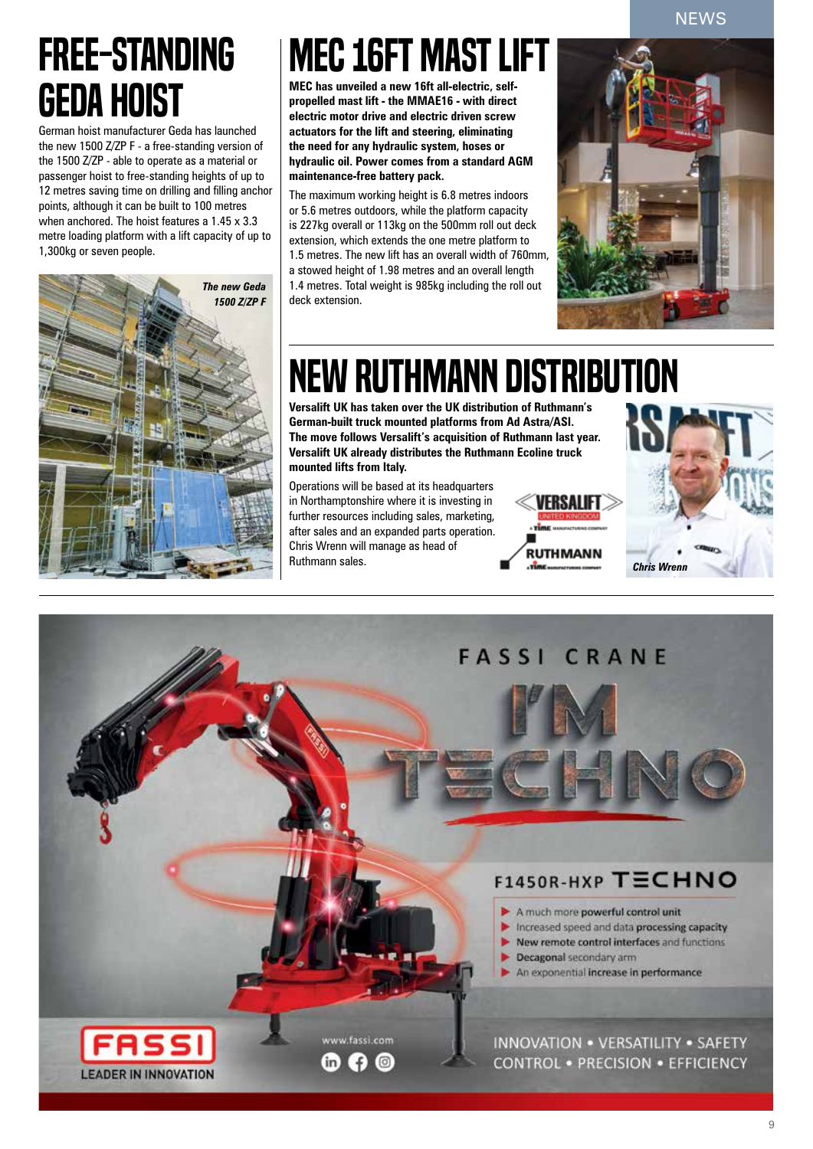**NEWS** 

### free-standing Geda hoist

German hoist manufacturer Geda has launched the new 1500 Z/ZP F - a free-standing version of the 1500 Z/ZP - able to operate as a material or passenger hoist to free-standing heights of up to 12 metres saving time on drilling and filling anchor points, although it can be built to 100 metres when anchored. The hoist features a 1.45 x 3.3 metre loading platform with a lift capacity of up to 1,300kg or seven people.



### MEC 16ft mastlift

**MEC has unveiled a new 16ft all-electric, selfpropelled mast lift - the MMAE16 - with direct electric motor drive and electric driven screw actuators for the lift and steering, eliminating the need for any hydraulic system, hoses or hydraulic oil. Power comes from a standard AGM maintenance-free battery pack.**

The maximum working height is 6.8 metres indoors or 5.6 metres outdoors, while the platform capacity is 227kg overall or 113kg on the 500mm roll out deck extension, which extends the one metre platform to 1.5 metres. The new lift has an overall width of 760mm, a stowed height of 1.98 metres and an overall length 1.4 metres. Total weight is 985kg including the roll out deck extension.



### New Ruthmann distribution

**Versalift UK has taken over the UK distribution of Ruthmann's German-built truck mounted platforms from Ad Astra/ASI. The move follows Versalift's acquisition of Ruthmann last year. Versalift UK already distributes the Ruthmann Ecoline truck mounted lifts from Italy.** 

Operations will be based at its headquarters in Northamptonshire where it is investing in further resources including sales, marketing, after sales and an expanded parts operation. Chris Wrenn will manage as head of Ruthmann sales.





### CRANE **FASSI** F1450R-HXP TECHNO A much more powerful control unit Increased speed and data processing capacity New remote control interfaces and functions Decagonal secondary arm An exponential increase in performance www.fassi.com INNOVATION . VERSATILITY . SAFETY **CONTROL . PRECISION . EFFICIENCY** in) f. **LEADER IN INNOVATION**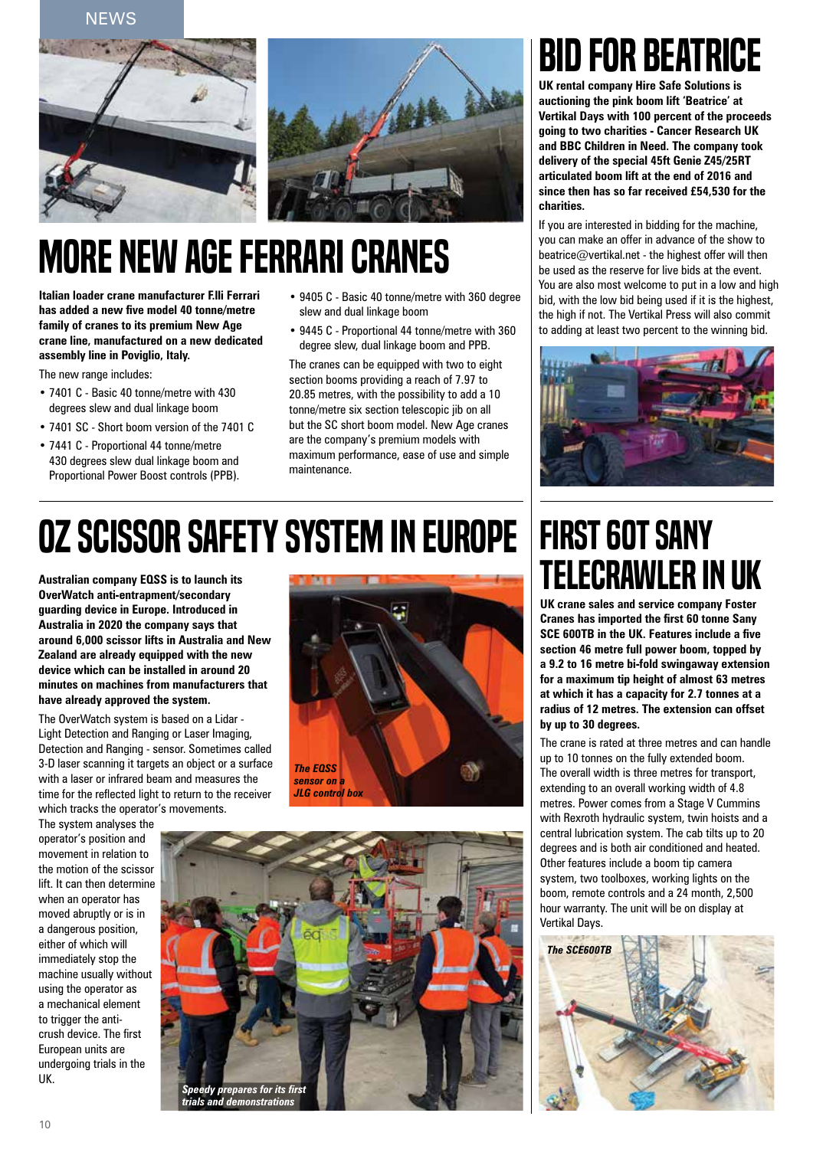**NFWS** 



### **MORE NEW AGE FERRARI CRANES**

**Italian loader crane manufacturer F.lli Ferrari has added a new five model 40 tonne/metre family of cranes to its premium New Age crane line, manufactured on a new dedicated assembly line in Poviglio, Italy.** 

The new range includes:

- 7401 C Basic 40 tonne/metre with 430 degrees slew and dual linkage boom
- 7401 SC Short boom version of the 7401 C
- 7441 C Proportional 44 tonne/metre 430 degrees slew dual linkage boom and Proportional Power Boost controls (PPB).
- 9405 C Basic 40 tonne/metre with 360 degree slew and dual linkage boom
- 9445 C Proportional 44 tonne/metre with 360 degree slew, dual linkage boom and PPB.

The cranes can be equipped with two to eight section booms providing a reach of 7.97 to 20.85 metres, with the possibility to add a 10 tonne/metre six section telescopic jib on all but the SC short boom model. New Age cranes are the company's premium models with maximum performance, ease of use and simple maintenance.

### Bid for Beatrice

**UK rental company Hire Safe Solutions is auctioning the pink boom lift 'Beatrice' at Vertikal Days with 100 percent of the proceeds going to two charities - Cancer Research UK and BBC Children in Need. The company took delivery of the special 45ft Genie Z45/25RT articulated boom lift at the end of 2016 and since then has so far received £54,530 for the charities.**

If you are interested in bidding for the machine, you can make an offer in advance of the show to  $\mathbf{\hat{b}}$ eatrice@vertikal.net - the highest offer will then be used as the reserve for live bids at the event. You are also most welcome to put in a low and high bid, with the low bid being used if it is the highest, the high if not. The Vertikal Press will also commit to adding at least two percent to the winning bid.



### Oz scissor safety system in Europe

**Australian company EQSS is to launch its OverWatch anti-entrapment/secondary guarding device in Europe. Introduced in Australia in 2020 the company says that around 6,000 scissor lifts in Australia and New Zealand are already equipped with the new device which can be installed in around 20 minutes on machines from manufacturers that have already approved the system.**

The OverWatch system is based on a Lidar - Light Detection and Ranging or Laser Imaging, Detection and Ranging - sensor. Sometimes called 3-D laser scanning it targets an object or a surface with a laser or infrared beam and measures the time for the reflected light to return to the receiver which tracks the operator's movements.



The system analyses the operator's position and movement in relation to the motion of the scissor lift. It can then determine when an operator has moved abruptly or is in a dangerous position, either of which will immediately stop the machine usually without using the operator as a mechanical element to trigger the anticrush device. The first European units are undergoing trials in the UK.



### First 60t Sany telecrawler in UK

**UK crane sales and service company Foster Cranes has imported the first 60 tonne Sany SCE 600TB in the UK. Features include a five section 46 metre full power boom, topped by a 9.2 to 16 metre bi-fold swingaway extension for a maximum tip height of almost 63 metres at which it has a capacity for 2.7 tonnes at a radius of 12 metres. The extension can offset by up to 30 degrees.**

The crane is rated at three metres and can handle up to 10 tonnes on the fully extended boom. The overall width is three metres for transport, extending to an overall working width of 4.8 metres. Power comes from a Stage V Cummins with Rexroth hydraulic system, twin hoists and a central lubrication system. The cab tilts up to 20 degrees and is both air conditioned and heated. Other features include a boom tip camera system, two toolboxes, working lights on the boom, remote controls and a 24 month, 2,500 hour warranty. The unit will be on display at Vertikal Days.

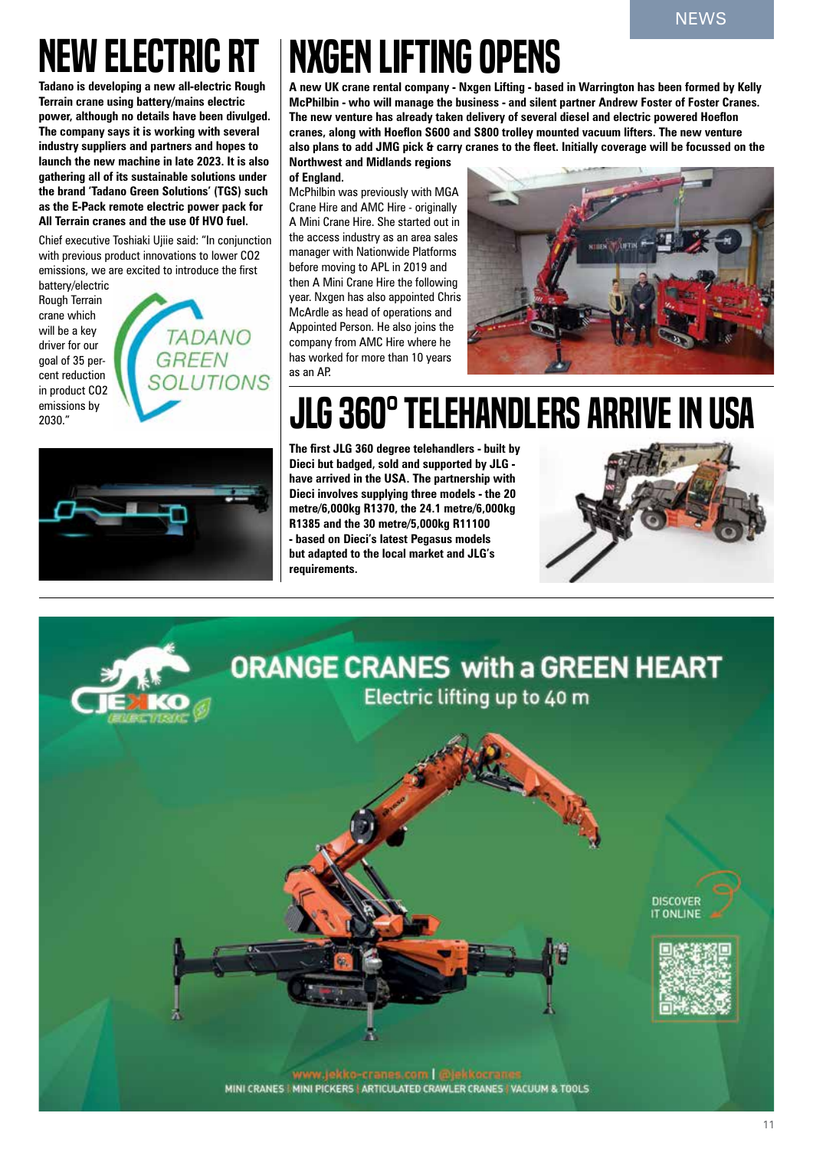## NEW ELECTRIC RT

**Tadano is developing a new all-electric Rough Terrain crane using battery/mains electric power, although no details have been divulged. The company says it is working with several industry suppliers and partners and hopes to launch the new machine in late 2023. It is also gathering all of its sustainable solutions under the brand 'Tadano Green Solutions' (TGS) such as the E-Pack remote electric power pack for All Terrain cranes and the use 0f HVO fuel.**

Chief executive Toshiaki Ujiie said: "In conjunction with previous product innovations to lower CO2 emissions, we are excited to introduce the first

battery/electric Rough Terrain crane which will be a key driver for our goal of 35 percent reduction in product CO2 emissions by 2030."





## **NXGEN LIFTING OPENS**

**A new UK crane rental company - Nxgen Lifting - based in Warrington has been formed by Kelly McPhilbin - who will manage the business - and silent partner Andrew Foster of Foster Cranes. The new venture has already taken delivery of several diesel and electric powered Hoeflon cranes, along with Hoeflon S600 and S800 trolley mounted vacuum lifters. The new venture also plans to add JMG pick & carry cranes to the fleet. Initially coverage will be focussed on the Northwest and Midlands regions** 

**of England.** 

McPhilbin was previously with MGA Crane Hire and AMC Hire - originally A Mini Crane Hire. She started out in the access industry as an area sales manager with Nationwide Platforms before moving to APL in 2019 and then A Mini Crane Hire the following year. Nxgen has also appointed Chris McArdle as head of operations and Appointed Person. He also joins the company from AMC Hire where he has worked for more than 10 years as an AP.



### **JLG 360° TELEHANDLERS ARRIVE IN USA**

**The first JLG 360 degree telehandlers - built by Dieci but badged, sold and supported by JLG have arrived in the USA. The partnership with Dieci involves supplying three models - the 20 metre/6,000kg R1370, the 24.1 metre/6,000kg R1385 and the 30 metre/5,000kg R11100 - based on Dieci's latest Pegasus models but adapted to the local market and JLG's requirements.** 



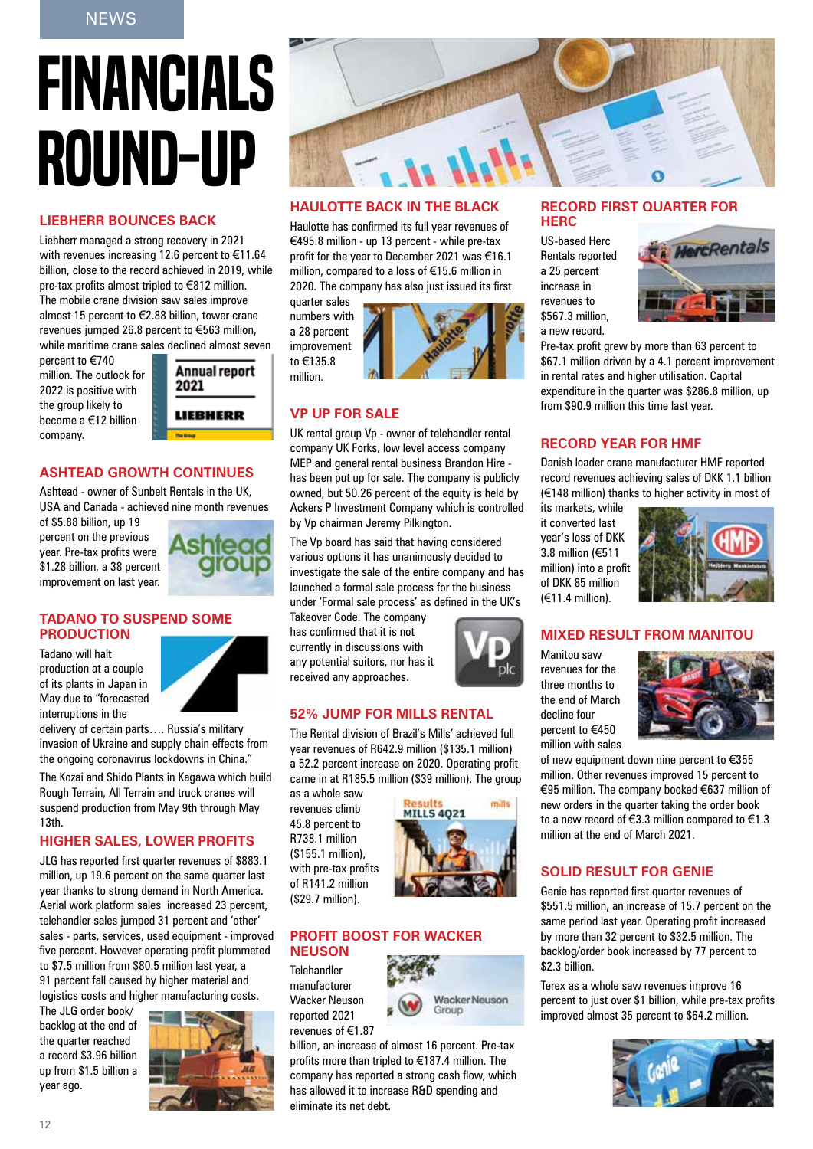# Financials round-up

#### **Liebherr bounces back**

Liebherr managed a strong recovery in 2021 with revenues increasing 12.6 percent to €11.64 billion, close to the record achieved in 2019, while pre-tax profits almost tripled to €812 million. The mobile crane division saw sales improve almost 15 percent to €2.88 billion, tower crane revenues jumped 26.8 percent to €563 million, while maritime crane sales declined almost seven

percent to €740 million. The outlook for 2022 is positive with the group likely to become a €12 billion company.

**Annual report** 2021

LIEBHERR

#### **Ashtead growth continues**

Ashtead - owner of Sunbelt Rentals in the UK, USA and Canada - achieved nine month revenues

of \$5.88 billion, up 19 percent on the previous year. Pre-tax profits were \$1.28 billion, a 38 percent improvement on last year.



#### **Tadano to suspend some production**

Tadano will halt production at a couple of its plants in Japan in May due to "forecasted interruptions in the



delivery of certain parts…. Russia's military invasion of Ukraine and supply chain effects from the ongoing coronavirus lockdowns in China."

The Kozai and Shido Plants in Kagawa which build Rough Terrain, All Terrain and truck cranes will suspend production from May 9th through May 13th.

#### **Higher sales, lower profits**

JLG has reported first quarter revenues of \$883.1 million, up 19.6 percent on the same quarter last year thanks to strong demand in North America. Aerial work platform sales increased 23 percent, telehandler sales jumped 31 percent and 'other' sales - parts, services, used equipment - improved five percent. However operating profit plummeted to \$7.5 million from \$80.5 million last year, a 91 percent fall caused by higher material and logistics costs and higher manufacturing costs.

The JLG order book/ backlog at the end of the quarter reached a record \$3.96 billion up from \$1.5 billion a year ago.





#### **Haulotte back in the black**

Haulotte has confirmed its full year revenues of €495.8 million - up 13 percent - while pre-tax profit for the year to December 2021 was €16.1 million, compared to a loss of €15.6 million in 2020. The company has also just issued its first

quarter sales numbers with a 28 percent improvement to €135.8 million.



#### **Vp up for sale**

UK rental group Vp - owner of telehandler rental company UK Forks, low level access company MEP and general rental business Brandon Hire has been put up for sale. The company is publicly owned, but 50.26 percent of the equity is held by Ackers P Investment Company which is controlled by Vp chairman Jeremy Pilkington.

The Vp board has said that having considered various options it has unanimously decided to investigate the sale of the entire company and has launched a formal sale process for the business under 'Formal sale process' as defined in the UK's

Takeover Code. The company has confirmed that it is not currently in discussions with any potential suitors, nor has it received any approaches.



#### **52% jump for Mills Rental**

The Rental division of Brazil's Mills' achieved full year revenues of R642.9 million (\$135.1 million) a 52.2 percent increase on 2020. Operating profit came in at R185.5 million (\$39 million). The group

as a whole saw revenues climb 45.8 percent to R738.1 million (\$155.1 million), with pre-tax profits of R141.2 million (\$29.7 million).



#### **PROFIT BOOST FOR WACKER Neuson**

Telehandler manufacturer Wacker Neuson reported 2021 revenues of €1.87



billion, an increase of almost 16 percent. Pre-tax profits more than tripled to €187.4 million. The company has reported a strong cash flow, which has allowed it to increase R&D spending and eliminate its net debt.

#### **Record first quarter for Herc**

US-based Herc Rentals reported a 25 percent increase in revenues to \$567.3 million, a new record.



Pre-tax profit grew by more than 63 percent to \$67.1 million driven by a 4.1 percent improvement in rental rates and higher utilisation. Capital expenditure in the quarter was \$286.8 million, up from \$90.9 million this time last year.

#### **Record year for HMF**

Danish loader crane manufacturer HMF reported record revenues achieving sales of DKK 1.1 billion (€148 million) thanks to higher activity in most of

its markets, while it converted last year's loss of DKK 3.8 million (€511 million) into a profit of DKK 85 million  $(E11.4 \text{ million}).$ 



#### **Mixed result from Manitou**

Manitou saw revenues for the three months to the end of March decline four percent to €450 million with sales



of new equipment down nine percent to €355 million. Other revenues improved 15 percent to €95 million. The company booked €637 million of new orders in the quarter taking the order book to a new record of €3.3 million compared to €1.3 million at the end of March 2021.

#### **Solid result for Genie**

Genie has reported first quarter revenues of \$551.5 million, an increase of 15.7 percent on the same period last year. Operating profit increased by more than 32 percent to \$32.5 million. The backlog/order book increased by 77 percent to \$2.3 billion.

Terex as a whole saw revenues improve 16 percent to just over \$1 billion, while pre-tax profits improved almost 35 percent to \$64.2 million.

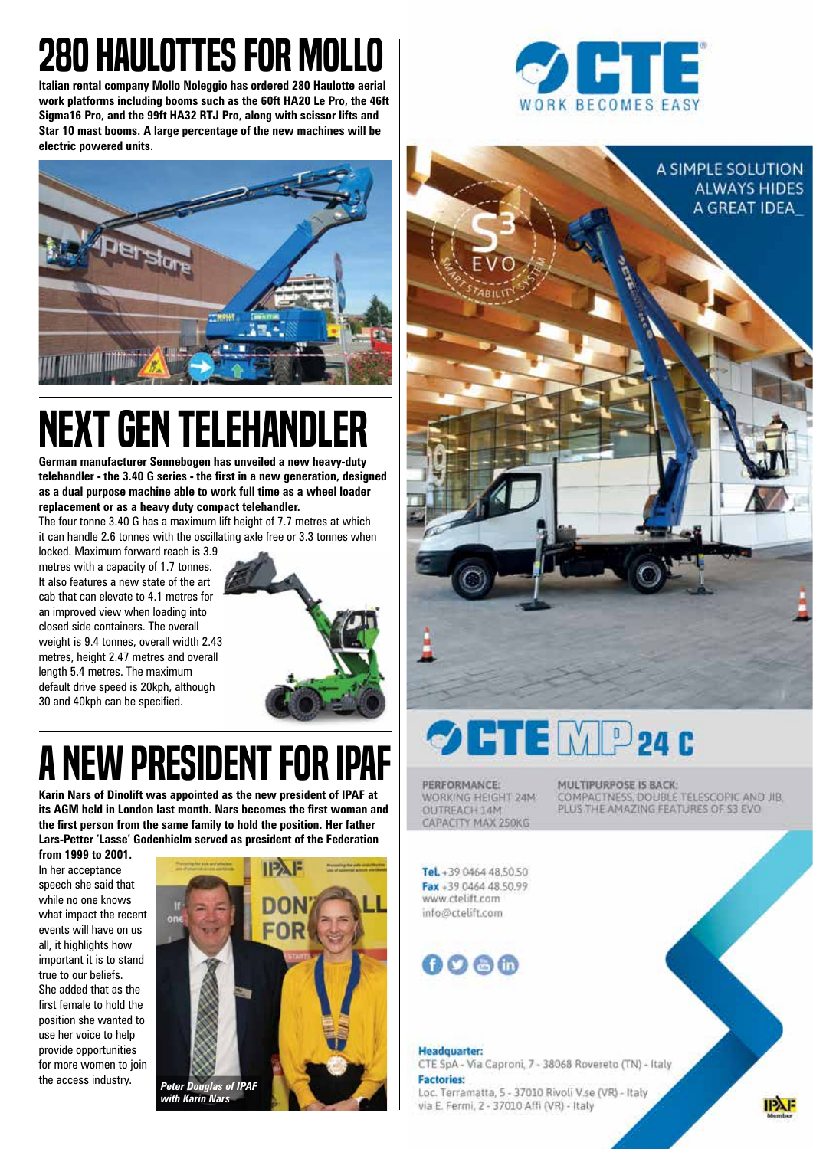## 280 HAULOTTES FOR MOLLO

**Italian rental company Mollo Noleggio has ordered 280 Haulotte aerial work platforms including booms such as the 60ft HA20 Le Pro, the 46ft Sigma16 Pro, and the 99ft HA32 RTJ Pro, along with scissor lifts and Star 10 mast booms. A large percentage of the new machines will be electric powered units.**



## Next Gen telehandler

**German manufacturer Sennebogen has unveiled a new heavy-duty telehandler - the 3.40 G series - the first in a new generation, designed as a dual purpose machine able to work full time as a wheel loader replacement or as a heavy duty compact telehandler.** 

The four tonne 3.40 G has a maximum lift height of 7.7 metres at which it can handle 2.6 tonnes with the oscillating axle free or 3.3 tonnes when

locked. Maximum forward reach is 3.9 metres with a capacity of 1.7 tonnes. It also features a new state of the art cab that can elevate to 4.1 metres for an improved view when loading into closed side containers. The overall weight is 9.4 tonnes, overall width 2.43 metres, height 2.47 metres and overall length 5.4 metres. The maximum default drive speed is 20kph, although 30 and 40kph can be specified.



### **A NEW PRESIDENT FOR IPAF**

**Karin Nars of Dinolift was appointed as the new president of IPAF at its AGM held in London last month. Nars becomes the first woman and the first person from the same family to hold the position. Her father Lars-Petter 'Lasse' Godenhielm served as president of the Federation** 

**from 1999 to 2001.** In her acceptance speech she said that while no one knows what impact the recent events will have on us all, it highlights how important it is to stand true to our beliefs. She added that as the first female to hold the position she wanted to use her voice to help provide opportunities for more women to join



*with Karin Nars*





## **OFTEMP24C**

PERFORMANCE: WORKING HEIGHT 24M OUTREACH 14M CAPACITY MAX 250KG

**MULTIPURPOSE IS BACK:** COMPACTNESS, DOUBLE TELESCOPIC AND JIB. PLUS THE AMAZING FEATURES OF S3 EVO

Tel. +39 0464 48.50.50 Fax +39 0464 48.50.99 www.ctelift.com info@ctelift.com

0066

#### **Headquarter:**

CTE SpA - Via Caproni, 7 - 38068 Rovereto (TN) - Italy **Factories:** 

Loc. Terramatta, 5 - 37010 Rivoli V.se (VR) - Italy via E. Fermi, 2 - 37010 Affi (VR) - Italy

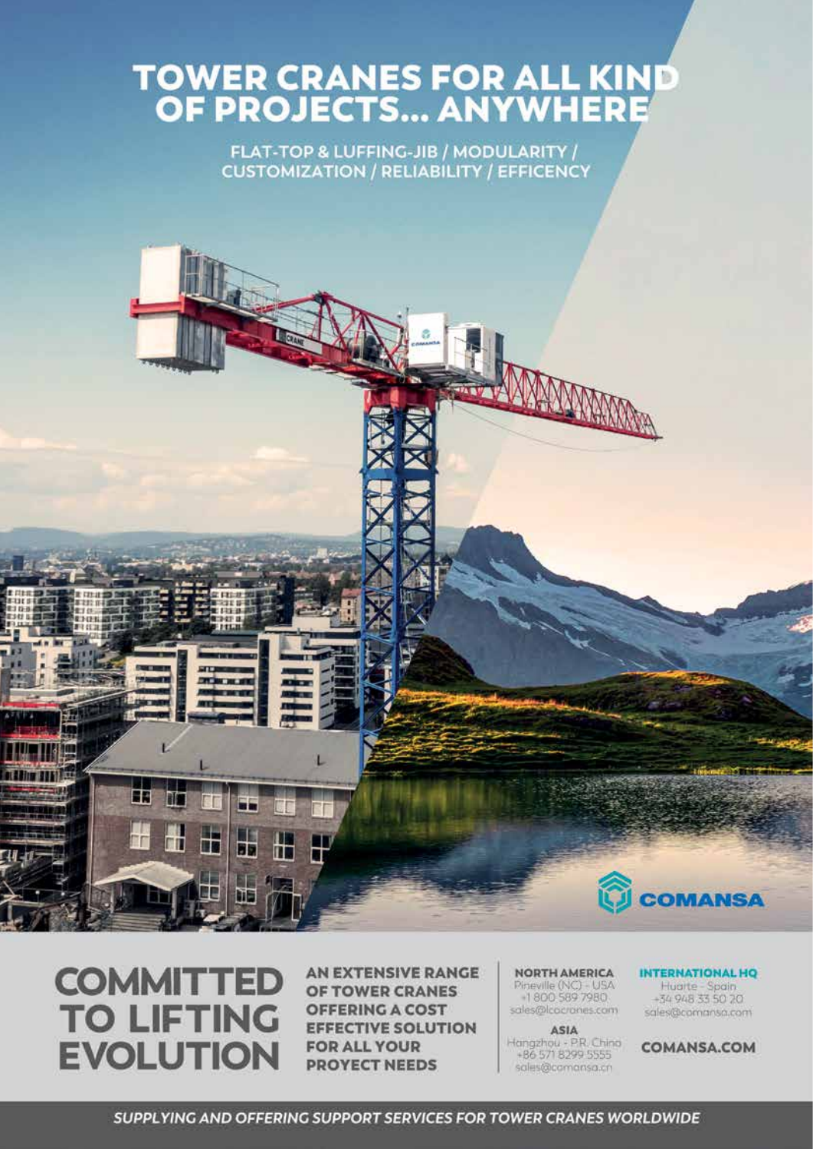# TOWER CRANES FOR ALL KIND<br>OF PROJECTS... ANYWHERE

FLAT-TOP & LUFFING-JIB / MODULARITY / **CUSTOMIZATION / RELIABILITY / EFFICENCY** 



m

П

Œ

m

Ŧ

調

ti B

Œ

m

Ħ.

**AN EXTENSIVE RANGE** OF TOWER CRANES **OFFERING A COST EFFECTIVE SOLUTION FOR ALL YOUR PROYECT NEEDS** 

#### **NORTH AMERICA** Pineville (NC) - USA<br>-1800 589 7980 sales@lcocrones.com

ASIA Hangzhou - P.R. Chino<br>+86 571 8299 5555 sales@comansa.cn

**INTERNATIONAL HQ** Huarte - Spain<br>-34 948 33 50 70 sales@comansa.com

**COMANSA** 

**COMANSA.COM**